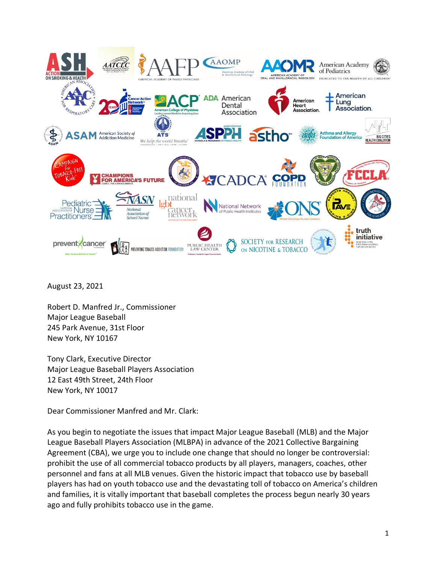

August 23, 2021

Robert D. Manfred Jr., Commissioner Major League Baseball 245 Park Avenue, 31st Floor New York, NY 10167

Tony Clark, Executive Director Major League Baseball Players Association 12 East 49th Street, 24th Floor New York, NY 10017

Dear Commissioner Manfred and Mr. Clark:

As you begin to negotiate the issues that impact Major League Baseball (MLB) and the Major League Baseball Players Association (MLBPA) in advance of the 2021 Collective Bargaining Agreement (CBA), we urge you to include one change that should no longer be controversial: prohibit the use of all commercial tobacco products by all players, managers, coaches, other personnel and fans at all MLB venues. Given the historic impact that tobacco use by baseball players has had on youth tobacco use and the devastating toll of tobacco on America's children and families, it is vitally important that baseball completes the process begun nearly 30 years ago and fully prohibits tobacco use in the game.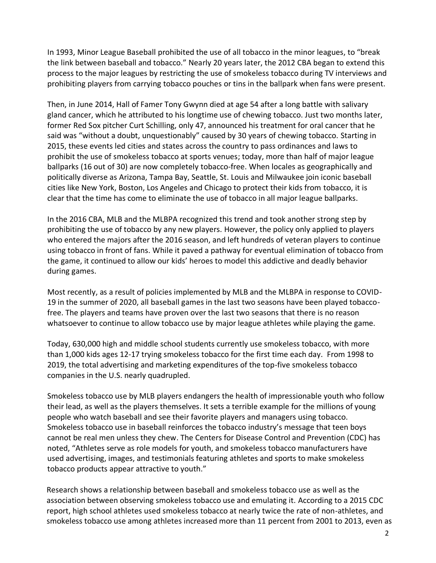In 1993, Minor League Baseball prohibited the use of all tobacco in the minor leagues, to "break the link between baseball and tobacco." Nearly 20 years later, the 2012 CBA began to extend this process to the major leagues by restricting the use of smokeless tobacco during TV interviews and prohibiting players from carrying tobacco pouches or tins in the ballpark when fans were present.

Then, in June 2014, Hall of Famer Tony Gwynn died at age 54 after a long battle with salivary gland cancer, which he attributed to his longtime use of chewing tobacco. Just two months later, former Red Sox pitcher Curt Schilling, only 47, announced his treatment for oral cancer that he said was "without a doubt, unquestionably" caused by 30 years of chewing tobacco. Starting in 2015, these events led cities and states across the country to pass ordinances and laws to prohibit the use of smokeless tobacco at sports venues; today, more than half of major league ballparks (16 out of 30) are now completely tobacco-free. When locales as geographically and politically diverse as Arizona, Tampa Bay, Seattle, St. Louis and Milwaukee join iconic baseball cities like New York, Boston, Los Angeles and Chicago to protect their kids from tobacco, it is clear that the time has come to eliminate the use of tobacco in all major league ballparks.

In the 2016 CBA, MLB and the MLBPA recognized this trend and took another strong step by prohibiting the use of tobacco by any new players. However, the policy only applied to players who entered the majors after the 2016 season, and left hundreds of veteran players to continue using tobacco in front of fans. While it paved a pathway for eventual elimination of tobacco from the game, it continued to allow our kids' heroes to model this addictive and deadly behavior during games.

Most recently, as a result of policies implemented by MLB and the MLBPA in response to COVID-19 in the summer of 2020, all baseball games in the last two seasons have been played tobaccofree. The players and teams have proven over the last two seasons that there is no reason whatsoever to continue to allow tobacco use by major league athletes while playing the game.

Today, 630,000 high and middle school students currently use smokeless tobacco, with more than 1,000 kids ages 12-17 trying smokeless tobacco for the first time each day. From 1998 to 2019, the total advertising and marketing expenditures of the top-five smokeless tobacco companies in the U.S. nearly quadrupled.

Smokeless tobacco use by MLB players endangers the health of impressionable youth who follow their lead, as well as the players themselves. It sets a terrible example for the millions of young people who watch baseball and see their favorite players and managers using tobacco. Smokeless tobacco use in baseball reinforces the tobacco industry's message that teen boys cannot be real men unless they chew. The Centers for Disease Control and Prevention (CDC) has noted, "Athletes serve as role models for youth, and smokeless tobacco manufacturers have used advertising, images, and testimonials featuring athletes and sports to make smokeless tobacco products appear attractive to youth."

Research shows a relationship between baseball and smokeless tobacco use as well as the association between observing smokeless tobacco use and emulating it. According to a 2015 CDC report, high school athletes used smokeless tobacco at nearly twice the rate of non-athletes, and smokeless tobacco use among athletes increased more than 11 percent from 2001 to 2013, even as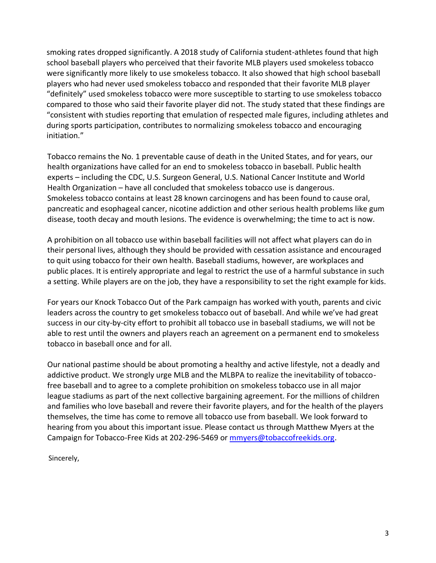smoking rates dropped significantly. A 2018 study of California student-athletes found that high school baseball players who perceived that their favorite MLB players used smokeless tobacco were significantly more likely to use smokeless tobacco. It also showed that high school baseball players who had never used smokeless tobacco and responded that their favorite MLB player "definitely" used smokeless tobacco were more susceptible to starting to use smokeless tobacco compared to those who said their favorite player did not. The study stated that these findings are "consistent with studies reporting that emulation of respected male figures, including athletes and during sports participation, contributes to normalizing smokeless tobacco and encouraging initiation."

Tobacco remains the No. 1 preventable cause of death in the United States, and for years, our health organizations have called for an end to smokeless tobacco in baseball. Public health experts – including the CDC, U.S. Surgeon General, U.S. National Cancer Institute and World Health Organization – have all concluded that smokeless tobacco use is dangerous. Smokeless tobacco contains at least 28 known carcinogens and has been found to cause oral, pancreatic and esophageal cancer, nicotine addiction and other serious health problems like gum disease, tooth decay and mouth lesions. The evidence is overwhelming; the time to act is now.

A prohibition on all tobacco use within baseball facilities will not affect what players can do in their personal lives, although they should be provided with cessation assistance and encouraged to quit using tobacco for their own health. Baseball stadiums, however, are workplaces and public places. It is entirely appropriate and legal to restrict the use of a harmful substance in such a setting. While players are on the job, they have a responsibility to set the right example for kids.

For years our Knock Tobacco Out of the Park campaign has worked with youth, parents and civic leaders across the country to get smokeless tobacco out of baseball. And while we've had great success in our city-by-city effort to prohibit all tobacco use in baseball stadiums, we will not be able to rest until the owners and players reach an agreement on a permanent end to smokeless tobacco in baseball once and for all.

Our national pastime should be about promoting a healthy and active lifestyle, not a deadly and addictive product. We strongly urge MLB and the MLBPA to realize the inevitability of tobaccofree baseball and to agree to a complete prohibition on smokeless tobacco use in all major league stadiums as part of the next collective bargaining agreement. For the millions of children and families who love baseball and revere their favorite players, and for the health of the players themselves, the time has come to remove all tobacco use from baseball. We look forward to hearing from you about this important issue. Please contact us through Matthew Myers at the Campaign for Tobacco-Free Kids at 202-296-5469 or [mmyers@tobaccofreekids.org.](mailto:mmyers@tobaccofreekids.org)

Sincerely,